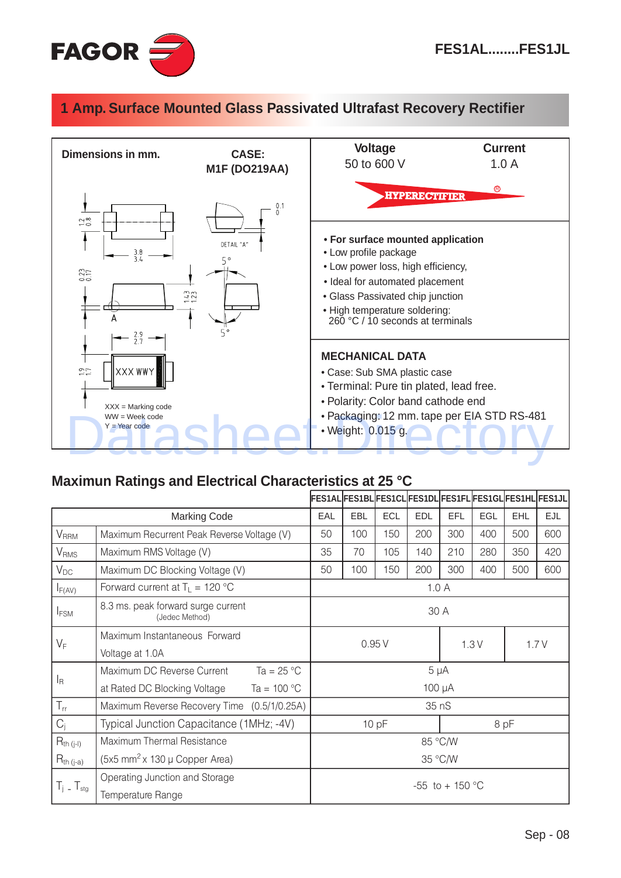

## **1 Amp. Surface Mounted Glass Passivated Ultrafast Recovery Rectifier**



## **Maximun Ratings and Electrical Characteristics at 25 °C**

|                          |                                                      | FES1AL FES1BL FES1CL FES1DL FES1FL FES1GL FES1HL FES1JL |            |            |            |            |     |            |     |  |
|--------------------------|------------------------------------------------------|---------------------------------------------------------|------------|------------|------------|------------|-----|------------|-----|--|
| <b>Marking Code</b>      |                                                      | EAL                                                     | <b>EBL</b> | <b>ECL</b> | <b>EDL</b> | <b>EFL</b> | EGL | <b>EHL</b> | EJL |  |
| V <sub>RRM</sub>         | Maximum Recurrent Peak Reverse Voltage (V)           | 50                                                      | 100        | 150        | 200        | 300        | 400 | 500        | 600 |  |
| <b>V</b> <sub>RMS</sub>  | Maximum RMS Voltage (V)                              | 35                                                      | 70         | 105        | 140        | 210        | 280 | 350        | 420 |  |
| $V_{DC}$                 | Maximum DC Blocking Voltage (V)                      | 50                                                      | 100        | 150        | 200        | 300        | 400 | 500        | 600 |  |
| $I_{F(AV)}$              | Forward current at $T_{\perp}$ = 120 °C              | 1.0A                                                    |            |            |            |            |     |            |     |  |
| I <sub>FSM</sub>         | 8.3 ms. peak forward surge current<br>(Jedec Method) | 30 A                                                    |            |            |            |            |     |            |     |  |
| $V_F$                    | Maximum Instantaneous Forward                        | 0.95V<br>1.3V<br>1.7V                                   |            |            |            |            |     |            |     |  |
|                          | Voltage at 1.0A                                      |                                                         |            |            |            |            |     |            |     |  |
| $I_R$                    | Ta = $25^{\circ}$ C<br>Maximum DC Reverse Current    | $5 \mu A$                                               |            |            |            |            |     |            |     |  |
|                          | at Rated DC Blocking Voltage<br>Ta = $100 °C$        | 100 µA                                                  |            |            |            |            |     |            |     |  |
| $T_{rr}$                 | Maximum Reverse Recovery Time (0.5/1/0.25A)          | 35 nS                                                   |            |            |            |            |     |            |     |  |
| $C_i$                    | Typical Junction Capacitance (1MHz; -4V)             | 10pF<br>8 pF                                            |            |            |            |            |     |            |     |  |
| $R_{th (j-I)}$           | Maximum Thermal Resistance                           | 85 °C/W                                                 |            |            |            |            |     |            |     |  |
| $R_{th (j-a)}$           | (5x5 mm <sup>2</sup> x 130 $\mu$ Copper Area)        |                                                         | 35 °C/W    |            |            |            |     |            |     |  |
| $T_j$ - $T_{\text{stg}}$ | Operating Junction and Storage<br>Temperature Range  | -55 to + 150 $^{\circ}$ C                               |            |            |            |            |     |            |     |  |